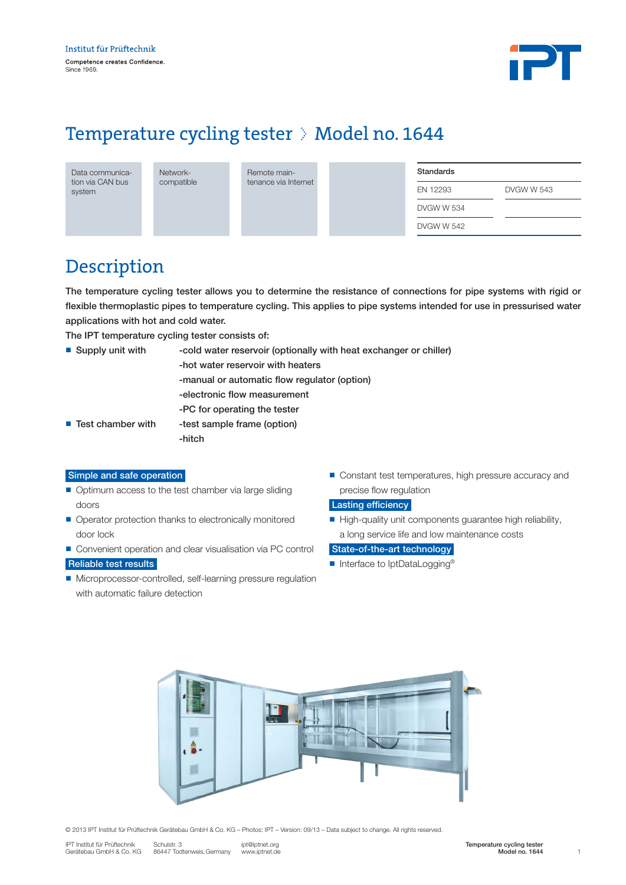

# Temperature cycling tester  $\Diamond$  Model no. 1644

Data communication via CAN bus system

Networkcompatible Remote maintenance via Internet

| Standards  |            |
|------------|------------|
| FN 12293   | DVGW W 543 |
| DVGW W 534 |            |
| DVGW W 542 |            |

### Description

The temperature cycling tester allows you to determine the resistance of connections for pipe systems with rigid or flexible thermoplastic pipes to temperature cycling. This applies to pipe systems intended for use in pressurised water applications with hot and cold water.

The IPT temperature cycling tester consists of:

| $\blacksquare$ Supply unit with  | -cold water reservoir (optionally with heat exchanger or chiller) |  |  |  |
|----------------------------------|-------------------------------------------------------------------|--|--|--|
|                                  | -hot water reservoir with heaters                                 |  |  |  |
|                                  | -manual or automatic flow regulator (option)                      |  |  |  |
|                                  | -electronic flow measurement                                      |  |  |  |
|                                  | -PC for operating the tester                                      |  |  |  |
| $\blacksquare$ Test chamber with | -test sample frame (option)                                       |  |  |  |
|                                  | -hitch                                                            |  |  |  |

### Simple and safe operation

- Optimum access to the test chamber via large sliding doors
- Operator protection thanks to electronically monitored door lock
- Convenient operation and clear visualisation via PC control Reliable test results
- Microprocessor-controlled, self-learning pressure regulation with automatic failure detection
- Constant test temperatures, high pressure accuracy and precise flow regulation

#### Lasting efficiency

n High-quality unit components guarantee high reliability, a long service life and low maintenance costs

#### State-of-the-art technology

■ Interface to IptDataLogging<sup>®</sup>



© 2013 IPT Institut für Prüftechnik Gerätebau GmbH & Co. KG – Photos: IPT – Version: 09/13 – Data subject to change. All rights reserved.